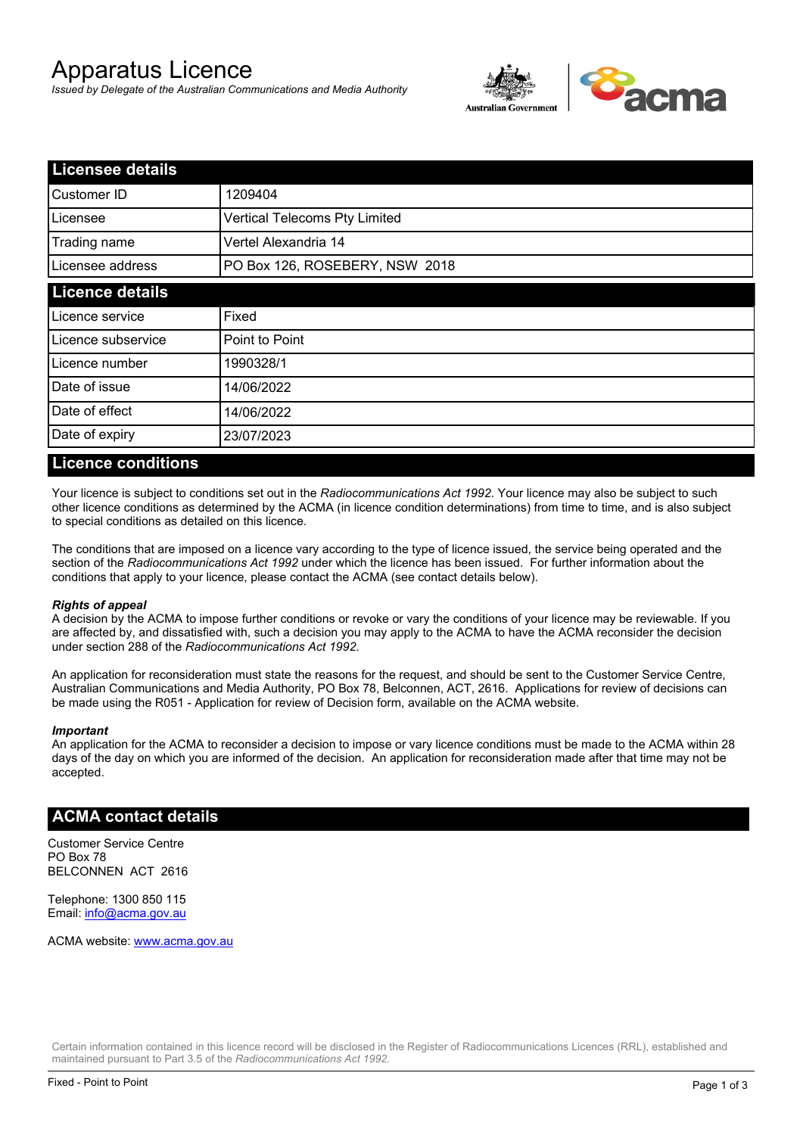# Apparatus Licence

*Issued by Delegate of the Australian Communications and Media Authority*



| <b>Licensee details</b> |                                |  |
|-------------------------|--------------------------------|--|
| Customer ID             | 1209404                        |  |
| Licensee                | Vertical Telecoms Pty Limited  |  |
| Trading name            | Vertel Alexandria 14           |  |
| Licensee address        | PO Box 126, ROSEBERY, NSW 2018 |  |
| <b>Licence details</b>  |                                |  |
| Licence service         | Fixed                          |  |
| Licence subservice      | Point to Point                 |  |
| Licence number          | 1990328/1                      |  |
| Date of issue           | 14/06/2022                     |  |
| Date of effect          | 14/06/2022                     |  |
| Date of expiry          | 23/07/2023                     |  |

#### **Licence conditions**

Your licence is subject to conditions set out in the *Radiocommunications Act 1992*. Your licence may also be subject to such other licence conditions as determined by the ACMA (in licence condition determinations) from time to time, and is also subject to special conditions as detailed on this licence.

The conditions that are imposed on a licence vary according to the type of licence issued, the service being operated and the section of the *Radiocommunications Act 1992* under which the licence has been issued. For further information about the conditions that apply to your licence, please contact the ACMA (see contact details below).

#### *Rights of appeal*

A decision by the ACMA to impose further conditions or revoke or vary the conditions of your licence may be reviewable. If you are affected by, and dissatisfied with, such a decision you may apply to the ACMA to have the ACMA reconsider the decision under section 288 of the *Radiocommunications Act 1992*.

An application for reconsideration must state the reasons for the request, and should be sent to the Customer Service Centre, Australian Communications and Media Authority, PO Box 78, Belconnen, ACT, 2616. Applications for review of decisions can be made using the R051 - Application for review of Decision form, available on the ACMA website.

#### *Important*

An application for the ACMA to reconsider a decision to impose or vary licence conditions must be made to the ACMA within 28 days of the day on which you are informed of the decision. An application for reconsideration made after that time may not be accepted.

### **ACMA contact details**

Customer Service Centre PO Box 78 BELCONNEN ACT 2616

Telephone: 1300 850 115 Email: info@acma.gov.au

ACMA website: www.acma.gov.au

Certain information contained in this licence record will be disclosed in the Register of Radiocommunications Licences (RRL), established and maintained pursuant to Part 3.5 of the *Radiocommunications Act 1992.*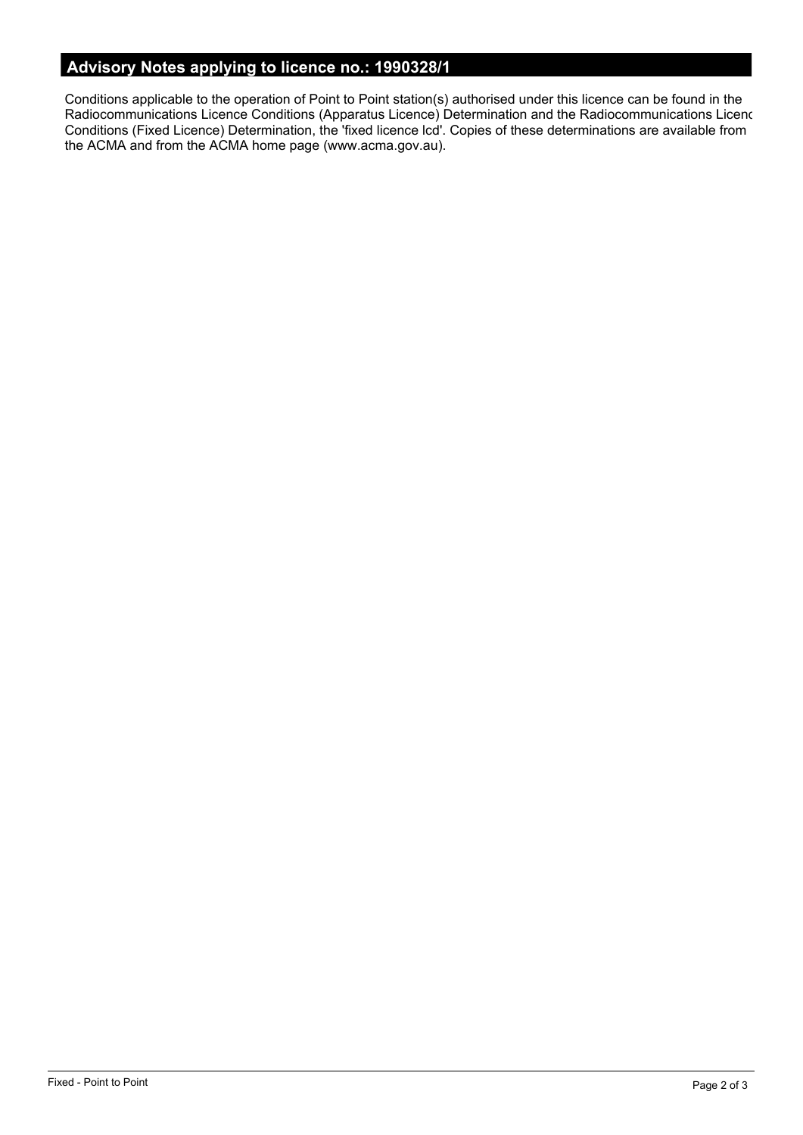# **Advisory Notes applying to licence no.: 1990328/1**

Conditions applicable to the operation of Point to Point station(s) authorised under this licence can be found in the Radiocommunications Licence Conditions (Apparatus Licence) Determination and the Radiocommunications Licence Conditions (Fixed Licence) Determination, the 'fixed licence lcd'. Copies of these determinations are available from the ACMA and from the ACMA home page (www.acma.gov.au).